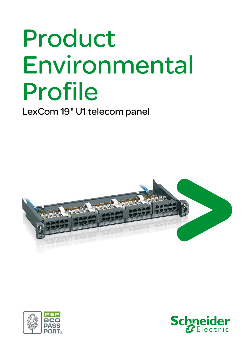# Product Environmental Profile

LexCom 19" U1 telecom panel





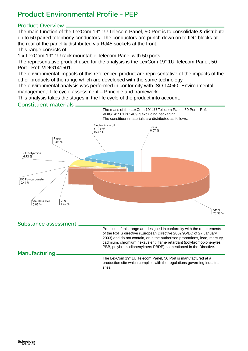## Product Environmental Profile - PEP

#### Product Overview

The main function of the LexCom 19" 1U Telecom Panel, 50 Port is to consolidate & distribute up to 50 paired telephony conductors. The conductors are punch down on to IDC blocks at the rear of the panel & distributed via RJ45 sockets at the front.

This range consists of:

1 x LexCom 19" 1U rack mountable Telecom Panel with 50 ports.

The representative product used for the analysis is the LexCom 19" 1U Telecom Panel, 50 Port - Ref: VDIG141501.

The environmental impacts of this referenced product are representative of the impacts of the other products of the range which are developed with the same technology.

The environmental analysis was performed in conformity with ISO 14040 "Environmental management: Life cycle assessment – Principle and framework".

This analysis takes the stages in the life cycle of the product into account.

#### Constituent materials



The LexCom 19" 1U Telecom Panel, 50 Port is manufactured at a production site which complies with the regulations governing industrial sites.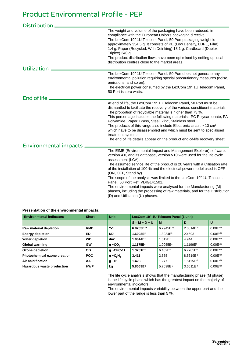### Product Environmental Profile - PEP

| <b>Distribution</b>          |                                                                                                                                                                                                                                                                                                                                                                                                                                                                                                                                                                                                                                                     |
|------------------------------|-----------------------------------------------------------------------------------------------------------------------------------------------------------------------------------------------------------------------------------------------------------------------------------------------------------------------------------------------------------------------------------------------------------------------------------------------------------------------------------------------------------------------------------------------------------------------------------------------------------------------------------------------------|
| <b>Utilization</b>           | The weight and volume of the packaging have been reduced, in<br>compliance with the European Union's packaging directive.<br>The LexCom 19" 1U Telecom Panel, 50 Port packaging weight is<br>approximately 354.5 g. It consists of PE (Low Density, LDPE, Film)<br>1.4 g, Paper (Recycled, With Deinking) 13.1 g, Cardboard (Duplex-<br>Triplex) $340$ g.<br>The product distribution flows have been optimised by setting up local<br>distribution centres close to the market areas.                                                                                                                                                              |
|                              | The LexCom 19" 1U Telecom Panel, 50 Port does not generate any                                                                                                                                                                                                                                                                                                                                                                                                                                                                                                                                                                                      |
|                              | environmental pollution requiring special precautionary measures (noise,<br>emissions, and so on).<br>The electrical power consumed by the LexCom 19" 1U Telecom Panel,<br>50 Port is zero watts.                                                                                                                                                                                                                                                                                                                                                                                                                                                   |
| End of life                  |                                                                                                                                                                                                                                                                                                                                                                                                                                                                                                                                                                                                                                                     |
|                              | At end of life, the LexCom 19" 1U Telecom Panel, 50 Port must be<br>dismantled to facilitate the recovery of the various constituent materials.<br>The proportion of recyclable material is higher than 73 %.<br>This percentage includes the following materials: PC Polycarbonate, PA<br>Polyamide, Paper, Brass, Steel, Zinc, Stainless steel.<br>The products of this range also include Electronic circuit > 10 cm <sup>2</sup><br>which have to be disassembled and which must be sent to specialised<br>treatment systems.<br>The end of life details appear on the product end-of-life recovery sheet.                                      |
| <b>Environmental impacts</b> |                                                                                                                                                                                                                                                                                                                                                                                                                                                                                                                                                                                                                                                     |
|                              | The EIME (Environmental Impact and Management Explorer) software,<br>version 4.0, and its database, version V10 were used for the life cycle<br>assessment (LCA).<br>The assumed service life of the product is 20 years with a utilisation rate<br>of the installation of 100 % and the electrical power model used is OFF<br>(ON, OFF, Stand by).<br>The scope of the analysis was limited to the LexCom 19" 1U Telecom<br>Panel, 50 Port Ref: VDIG141501.<br>The environmental impacts were analysed for the Manufacturing (M)<br>phases, including the processing of raw materials, and for the Distribution<br>(D) and Utilization (U) phases. |

**Presentation of the environmental impacts:**

| <b>Environmental indicators</b>     | <b>Short</b> | <b>Unit</b>     | LexCom 19" 1U Telecom Panel (1 unit) |                       |                       |               |
|-------------------------------------|--------------|-----------------|--------------------------------------|-----------------------|-----------------------|---------------|
|                                     |              |                 | $S = M + D + U$                      | M                     | D                     | U             |
| Raw material depletion              | <b>RMD</b>   | $Y-1$           | 6.8233E-15                           | 6.7945E-15            | 2.8814E-17            | $0.00E^{+00}$ |
| <b>Energy depletion</b>             | <b>ED</b>    | МJ              | 1.6003E <sup>2</sup>                 | 1.3934E <sup>2</sup>  | 20.693                | $0.00E^{+00}$ |
| <b>Water depletion</b>              | <b>WD</b>    | dm <sup>3</sup> | 1.0614E <sup>2</sup>                 | 1.012E <sup>2</sup>   | 4.944                 | $0.00E^{+00}$ |
| Global warming                      | <b>GW</b>    | $g - CO$        | 1.1175E <sup>4</sup>                 | 1.0055E <sup>4</sup>  | 1.1196E <sup>3</sup>  | $0.00E^{+00}$ |
| Ozone depletion                     | OD           | $g \sim$ CFC-11 | $1.3231E^{-3}$                       | $6.452E^{-4}$         | 6.7785E <sup>-4</sup> | $0.00E^{+00}$ |
| <b>Photochemical ozone creation</b> | <b>POC</b>   | $g - C_2H_a$    | 3.411                                | 2.555                 | 8.5619E-1             | $0.00E^{+00}$ |
| Air acidification                   | AA           | $g \sim H^+$    | 1.428                                | 1.277                 | 1.5115E-1             | $0.00E^{+00}$ |
| Hazardous waste production          | <b>HWP</b>   | kg              | $5.8063E^{-2}$                       | 5.7698E <sup>-2</sup> | 3.6511E <sup>4</sup>  | $0.00E^{+00}$ |

The life cycle analysis shows that the manufacturing phase (M phase) is the life cycle phase which has the greatest impact on the majority of environmental indicators.

The environmental impacts variability between the upper part and the lower part of the range is less than 5 %.